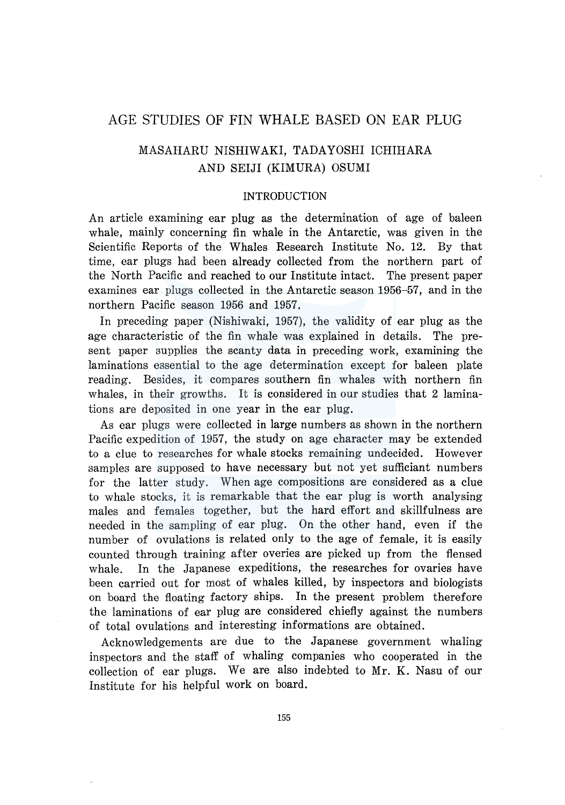# AGE STUDIES OF FIN WHALE BASED ON EAR PLUG

# MASAHARU NISHIWAKI, TADAYOSHI ICHIHARA AND SEIJI (KIMURA) OSUMI

#### INTRODUCTION

An article examining ear plug as the determination of age of baleen whale, mainly concerning fin whale in the Antarctic, was given in the Scientific Reports of the Whales Research Institute No. 12. By that time, ear plugs had been already collected from the northern part of the North Pacific and reached to our Institute intact. The present paper examines ear plugs collected in the Antarctic season 1956-57, and in the northern Pacific season 1956 and 1957.

In preceding paper (Nishiwaki, 1957), the validity of ear plug as the age characteristic of the fin whale was explained in details. The present paper supplies the scanty data in preceding work, examining the laminations essential to the age determination except for baleen plate reading. Besides, it compares southern fin whales with northern fin whales, in their growths. It is considered in our studies that 2 laminations are deposited in one year in the ear plug.

As ear plugs were collected in large numbers as shown in the northern Pacific expedition of 1957, the study on age character may be extended to a clue to researches for whale stocks remaining undecided. However samples are supposed to have necessary but not yet sufficiant numbers for the latter study. When age compositions are considered as a clue to whale stocks, it is remarkable that the ear plug is worth analysing males and females together, but the hard effort and skillfulness are needed in the sampling of ear plug. On the other hand, even if the number of ovulations is related only to the age of female, it is easily counted through training after overies are picked up from the flensed whale. In the Japanese expeditions, the researches for ovaries have been carried out for most of whales killed, by inspectors and biologists on board the floating factory ships. In the present problem therefore the laminations of ear plug are considered chiefly against the numbers of total ovulations and interesting informations are obtained.

Acknowledgements are due to the Japanese government whaling inspectors and the staff of whaling companies who cooperated in the collection of ear plugs. We are also indebted to Mr. K. Nasu of our Institute for his helpful work on board.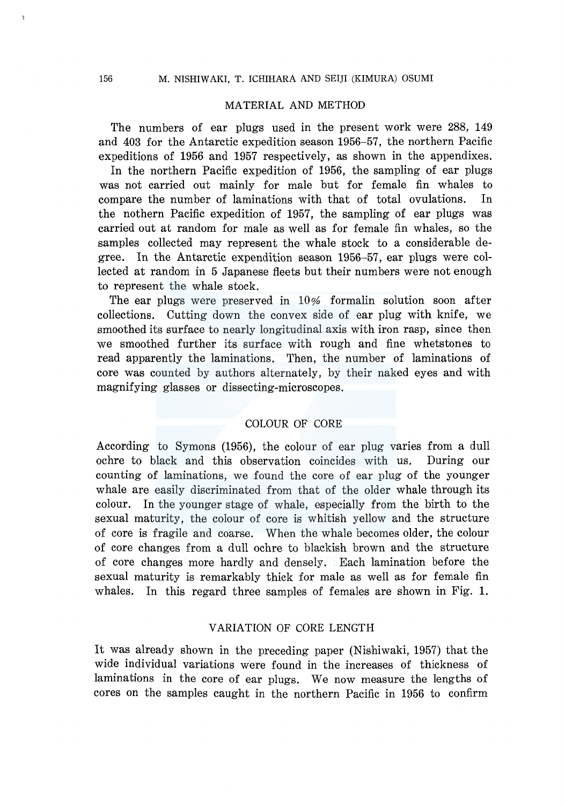#### MATERIAL AND METHOD

The numbers of ear plugs used in the present work were 288, 149 and 403 for the Antarctic expedition season 1956-57, the northern Pacific expeditions of 1956 and 1957 respectively, as shown in the appendixes.

In the northern Pacific expedition of 1956, the sampling of ear plugs was not carried out mainly for male but for female fin whales to compare the number of laminations with that of total ovulations. In the nothern Pacific expedition of 1957, the sampling of ear plugs was carried out at random for male as well as for female fin whales, so the samples collected may represent the whale stock to a considerable degree. In the Antarctic expendition season 1956-57, ear plugs were collected at random in 5 Japanese fleets but their numbers were not enough to represent the whale stock.

The ear plugs were preserved in 10% formalin solution soon after collections. Cutting down the convex side of ear plug with knife, we smoothed its surface to nearly longitudinal axis with iron rasp, since then we smoothed further its surface with rough and fine whetstones to read apparently the laminations. Then, the number of laminations of core was counted by authors alternately, by their naked eyes and with magnifying glasses or dissecting-microscopes.

#### COLOUR OF CORE

According to Symons (1956), the colour of ear plug varies from a dull ochre to black and this observation coincides with us. During our counting of laminations, we found the core of ear plug of the younger whale are easily discriminated from that of the older whale through its colour. In the younger stage of whale, especially from the birth to the sexual maturity, the colour of core is whitish yellow and the structure of core is fragile and coarse. When the whale becomes older, the colour of core changes from a dull ochre to blackish brown and the structure of core changes more hardly and densely. Each lamination before the sexual maturity is remarkably thick for male as well as for female fin whales. In this regard three samples of females are shown in Fig. 1.

#### VARIATION OF CORE LENGTH

It was already shown in the preceding paper (Nishiwaki, 1957) that the wide individual variations were found in the increases of thickness of laminations in the core of ear plugs. We now measure the lengths of cores on the samples caught in the northern Pacific in 1956 to confirm

ķ,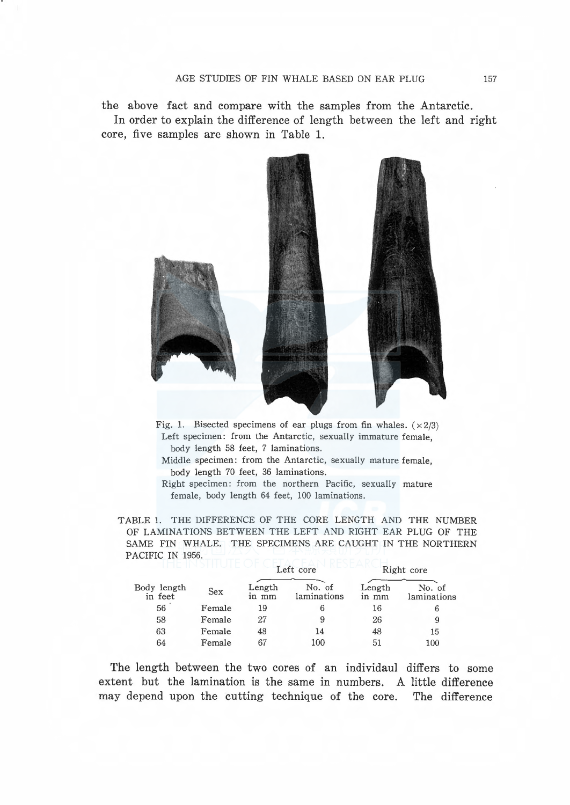the above fact and compare with the samples from the Antarctic.

In order to explain the difference of length between the left and right core, five samples are shown in Table 1.



Fig. 1. Bisected specimens of ear plugs from fin whales.  $(x2/3)$ Left specimen: from the Antarctic, sexually immature female, body length 58 feet, 7 laminations.

Middle specimen: from the Antarctic, sexually mature female, body length 70 feet, 36 laminations.

Right specimen: from the northern Pacific, sexually mature female, body length 64 feet, 100 laminations.

TABLE 1. THE DIFFERENCE OF THE CORE LENGTH AND THE NUMBER OF LAMINATIONS BETWEEN THE LEFT AND RIGHT EAR PLUG OF THE SAME FIN WHALE. THE SPECIMENS ARE CAUGHT IN THE NORTHERN PACIFIC IN 1956.

|                        |        |                 | Left core             | Right core      |                       |  |
|------------------------|--------|-----------------|-----------------------|-----------------|-----------------------|--|
| Body length<br>in feet | Sex    | Length<br>in mm | No. of<br>laminations | Length<br>in mm | No. of<br>laminations |  |
| 56                     | Female | 19              |                       | 16              | 6                     |  |
| 58                     | Female | 27              |                       | 26              | 9                     |  |
| 63                     | Female | 48              | 14                    | 48              | 15                    |  |
| 64                     | Female | 67              | 100                   | 51              | $100\,$               |  |

The length between the two cores of an individaul differs to some extent but the lamination is the same in numbers. A little difference may depend upon the cutting technique of the core. The difference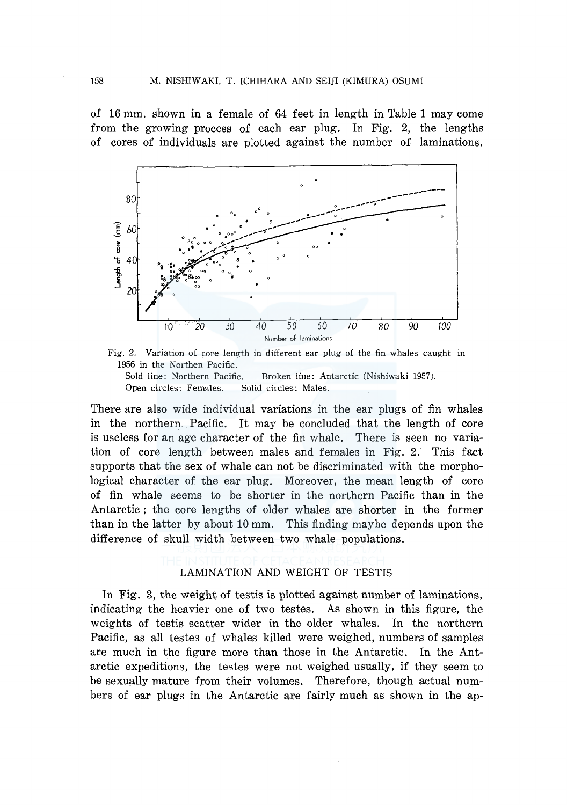of 16 mm. shown in a female of 64 feet in length in Table 1 may come from the growing process of each ear plug. In Fig. 2, the lengths of cores of individuals are plotted against the number of laminations.





Sold line: Northern Pacific. Broken line: Antarctic (Nishiwaki 1957). Open circles: Females. Solid circles: Males.

There are also wide individual variations in the ear plugs of fin whales in the northern Pacific. It may be concluded that the length of core is useless for an age character of the fin whale. There is seen no variation of core length between males and females in Fig. 2. This fact supports that the sex of whale can not be discriminated with the morphological character of the ear plug. Moreover, the mean length of core of fin whale seems to be shorter in the northern Pacific than in the Antarctic ; the core lengths of older whales are shorter in the former than in the latter by about 10 mm. This finding maybe depends upon the difference of skull width between two whale populations.

# LAMINATION AND WEIGHT OF TESTIS

In Fig. 3, the weight of testis is plotted against number of laminations, indicating the heavier one of two testes. As shown in this figure, the weights of testis scatter wider in the older whales. In the northern Pacific, as all testes of whales killed were weighed, numbers of samples are much in the figure more than those in the Antarctic. In the Antarctic expeditions, the testes were not weighed usually, if they seem to be sexually mature from their volumes. Therefore, though actual numbers of ear plugs in the Antarctic are fairly much as shown in the ap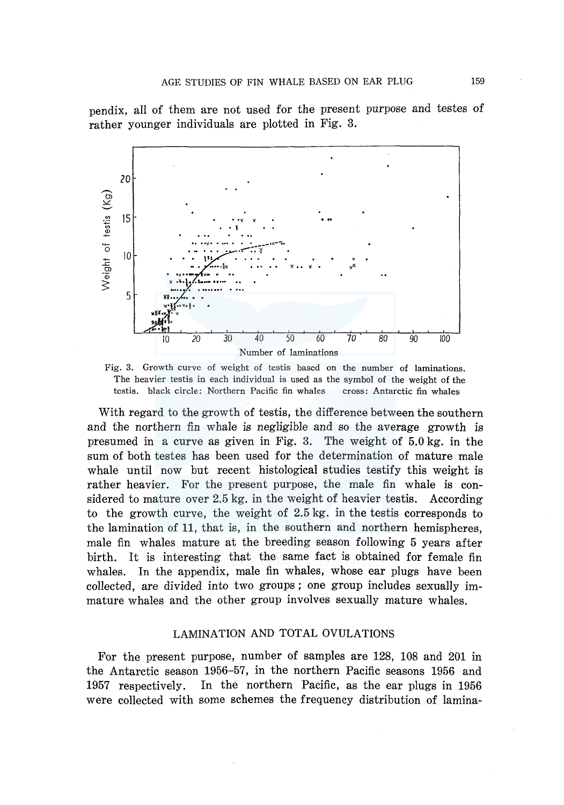pendix, all of them are not used for the present purpose and testes of rather younger individuals are plotted in Fig. 3.



Fig. 3. Growth curve of weight of testis based on the number of laminations. The heavier testis in each individual is used as the symbol of the weight of the testis. black circle: Northern Pacific fin whales cross: Antarctic fin whales

With regard to the growth of testis, the difference between the southern and the northern fin whale is negligible and so the average growth is presumed in a curve as given in Fig. 3. The weight of 5.0 kg. in the sum of both testes has been used for the determination of mature male whale until now but recent histological studies testify this weight is rather heavier. For the present purpose, the male fin whale is considered to mature over 2.5 kg. in the weight of heavier testis. According to the growth curve, the weight of 2.5 kg. in the testis corresponds to the lamination of 11, that is, in the southern and northern hemispheres, male fin whales mature at the breeding season following 5 years after birth. It is interesting that the same fact is obtained for female fin whales. In the appendix, male fin whales, whose ear plugs have been collected, are divided into two groups; one group includes sexually immature whales and the other group involves sexually mature whales.

#### LAMINATION AND TOTAL OVULATIONS

For the present purpose, number of samples are 128, 108 and 201 in the Antarctic season 1956-57, in the northern Pacific seasons 1956 and 1957 respectively. In the northern Pacific, as the ear plugs in 1956 were collected with some schemes the frequency distribution of lamina-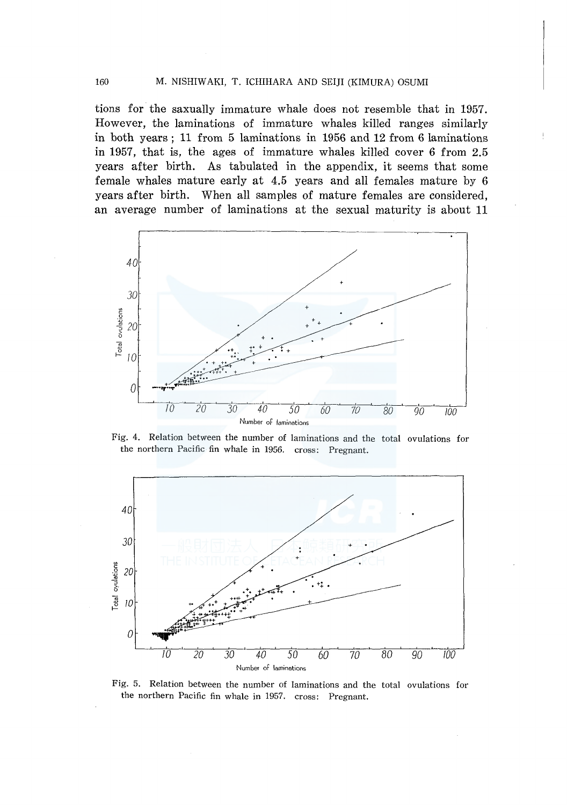#### 160 M. NISHIWAKI, T. ICHIHARA AND SEIJI (KIMURA) OSUMI

tions for the saxually immature whale does not resemble that in 1957. However, the laminations of immature whales killed ranges similarly in both years; 11 from 5 laminations in 1956 and 12 from 6 laminations in 1957, that is, the ages of immature whales killed cover 6 from 2.5 years after birth. As tabulated in the appendix, it seems that some female whales mature early at 4.5 years and all females mature by 6 years after birth. When all samples of mature females are considered, an average number of laminations at the sexual maturity is about 11



Fig. 4. Relation between the number of laminations and the total ovulations for the northern Pacific fin whale in 1956. cross: Pregnant.



Fig. 5. Relation between the number of laminations and the total ovulations for the northern Pacific fin whale in 1957. cross: Pregnant.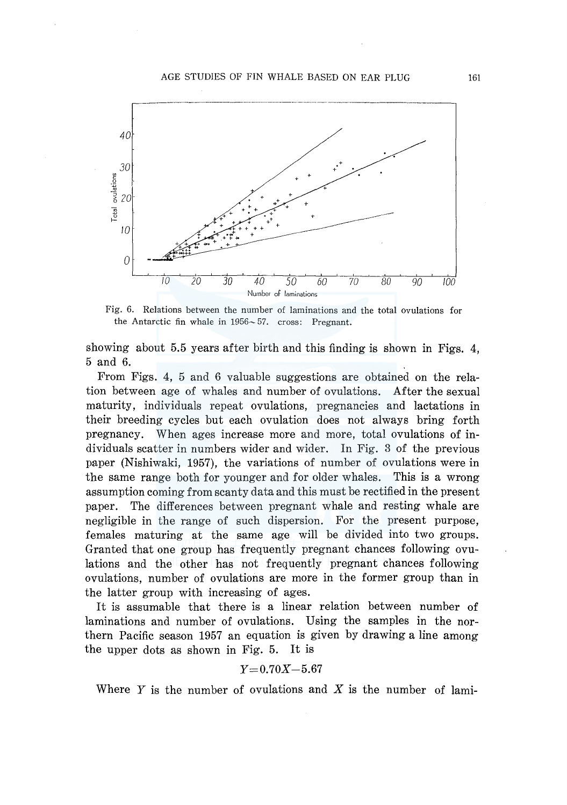

Fig. 6. Relations between the number of laminations and the total ovulations for the Antarctic fin whale in 1956- 57. cross: Pregnant.

showing about 5.5 years after birth and this finding is shown in Figs. 4, 5 and 6.

From Figs. 4, 5 and 6 valuable suggestions are obtained on the relation between age of whales and number of ovulations. After the sexual maturity, individuals repeat ovulations, pregnancies and lactations in their breeding cycles but each ovulation does not always bring forth pregnancy. When ages increase more and more, total ovulations of individuals scatter in numbers wider and wider. In Fig. 3 of the previous paper (Nishiwaki, 1957), the variations of number of ovulations were in the same range both for younger and for older whales. This is a wrong assumption coming from scanty data and this must be rectified in the present paper. The differences between pregnant whale and resting whale are negligible in the range of such dispersion. For the present purpose, females maturing at the same age will be divided into two groups. Granted that one group has frequently pregnant chances following ovulations and the other has not frequently pregnant chances following ovulations, number of ovulations are more in the former group than in the latter group with increasing of ages.

It is assumable that there is a linear relation between number of laminations and number of ovulations. Using the samples in the northern Pacific season 1957 an equation is given by drawing a line among the upper dots as shown in Fig. 5. It is

$$
Y\!=\!0.70X\!-\!5.67
$$

Where  $Y$  is the number of ovulations and  $X$  is the number of lami-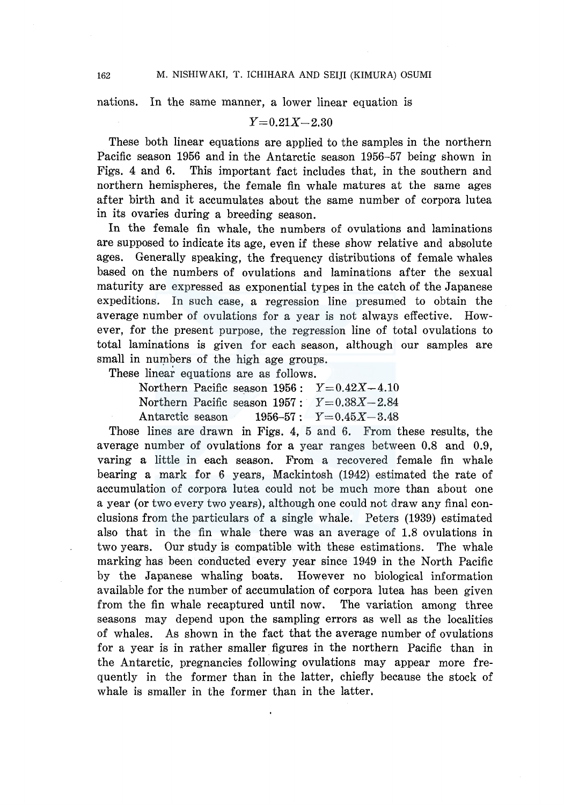nations. In the same manner, a lower linear equation is

#### $Y = 0.21X - 2.30$

These both linear equations are applied to the samples in the northern Pacific season 1956 and in the Antarctic season 1956-57 being shown in Figs. 4 and 6. This important fact includes that, in the southern and northern hemispheres, the female fin whale matures at the same ages after birth and it accumulates about the same number of corpora lutea in its ovaries during a breeding season.

In the female fin whale, the numbers of ovulations and laminations are supposed to indicate its age, even if these show relative and absolute ages. Generally speaking, the frequency distributions of female whales based on the numbers of ovulations and laminations after the sexual maturity are expressed as exponential types in the catch of the Japanese expeditions. In such case, a regression line presumed to obtain the average number of ovulations for a year is not always effective. However, for the present purpose, the regression line of total ovulations to total laminations is given for each season, although our samples are small in numbers of the high age groups.

These linear equations are as follows.

Northern Pacific season  $1956: Y=0.42X-4.10$ Northern Pacific season  $1957: Y=0.38X-2.84$ Antarctic season 1956-57:  $Y=0.45X-3.48$ 

Those lines are drawn in Figs. 4, 5 and 6. From these results, the average number of ovulations for a year ranges between 0.8 and 0.9, varing a little in each season. From a recovered female fin whale bearing a mark for 6 years, Mackintosh (1942) estimated the rate of accumulation of corpora lutea could not be much more than about one a year (or two every two years), although one could not draw any final conclusions from the particulars of a single whale. Peters (1939) estimated also that in the fin whale there was an average of 1.8 ovulations in two years. Our study is compatible with these estimations. The whale marking has been conducted every year since 1949 in the North Pacific by the Japanese whaling boats. However no biological information available for the number of accumulation of corpora lutea has been given from the fin whale recaptured until now. The variation among three seasons may depend upon the sampling errors as well as the localities of whales. As shown in the fact that the average number of ovulations for a year is in rather smaller figures in the northern Pacific than in the Antarctic, pregnancies following ovulations may appear more frequently in the former than in the latter, chiefly because the stock of whale is smaller in the former than in the latter.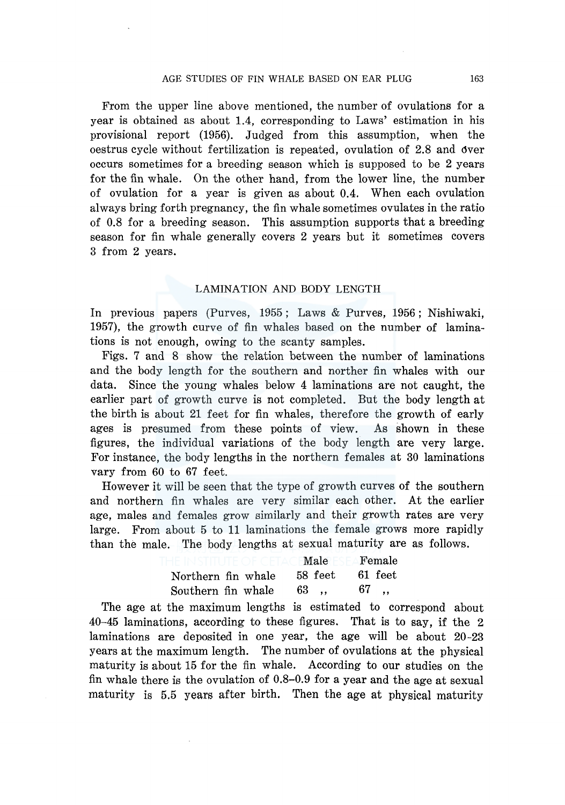From the upper line above mentioned, the number of ovulations for a year is obtained as about 1.4, corresponding to Laws' estimation in his provisional report (1956). Judged from this assumption, when the oestrus cycle without fertilization is repeated, ovulation of 2.8 and 6ver occurs sometimes for a breeding season which is supposed to be 2 years for the fin whale. On the other hand, from the lower line, the number of ovulation for a year is given as about 0.4. When each ovulation always bring forth pregnancy, the fin whale sometimes ovulates in the ratio of 0.8 for a breeding season. This assumption supports that a breeding season for fin whale generally covers 2 years but it sometimes covers 3 from 2 years.

#### LAMINATION AND BODY LENGTH

In previous papers (Purves, 1955; Laws & Purves, 1956; Nishiwaki, 1957), the growth curve of fin whales based on the number of laminations is not enough, owing to the scanty samples.

Figs. 7 and 8 show the relation between the number of laminations and the body length for the southern and norther fin whales with our data. Since the young whales below 4 laminations are not caught, the earlier part of growth curve is not completed. But the body length at the birth is about 21 feet for fin whales, therefore the growth of early ages is presumed from these points of view. As shown in these figures, the individual variations of the body length are very large. For instance, the body lengths in the northern females at 30 laminations vary from 60 to 67 feet.

However it will be seen that the type of growth curves of the southern and northern fin whales are very similar each other. At the earlier age, males and females grow similarly and their growth rates are very large. From about 5 to 11 laminations the female grows more rapidly than the male. The body lengths at sexual maturity are as follows.

|                    | Male    | Female  |
|--------------------|---------|---------|
| Northern fin whale | 58 feet | 61 feet |
| Southern fin whale | -63     | 67      |

The age at the maximum lengths is estimated to correspond about 40-45 laminations, according to these figures. That is to say, if the 2 laminations are deposited in one year, the age will be about 20-23 years at the maximum length. The number of ovulations at the physical maturity is about 15 for the fin whale. According to our studies on the fin whale there is the ovulation of 0.8-0.9 for a year and the age at sexual maturity is 5.5 years after birth. Then the age at physical maturity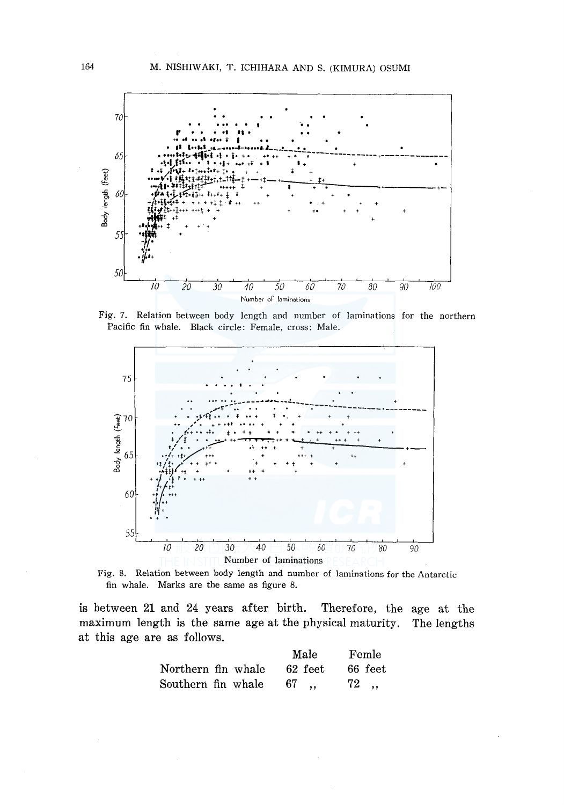

Fig. 7. Relation between body length and number of laminations for the northern Pacific fin whale. Black circle: Female, cross: Male.



Fig. 8. Relation between body length and number of laminations for the Antarctic fin whale. Marks are the same as figure 8.

is between 21 and 24 years after birth. maximum length is the same age at the physical maturity. at this age are as follows. Therefore, the age at the The lengths

|                    | Male    | Femle   |
|--------------------|---------|---------|
| Northern fin whale | 62 feet | 66 feet |
| Southern fin whale | 67      | 72,     |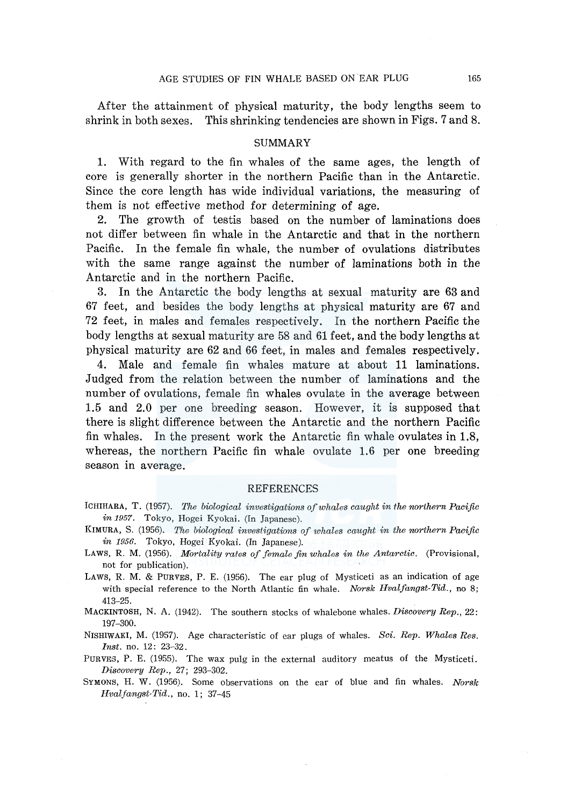After the attainment of physical maturity, the body lengths seem to shrink in both sexes. This shrinking tendencies are shown in Figs. 7 and 8.

#### SUMMARY

1. With regard to the fin whales of the same ages, the length of core is generally shorter in the northern Pacific than in the Antarctic. Since the core length has wide individual variations, the measuring of them is not effective method for determining of age.

2. The growth of testis based on the number of laminations does not differ between fin whale in the Antarctic and that in the northern Pacific. In the female fin whale, the number of ovulations distributes with the same range against the number of laminations both in the Antarctic and in the northern Pacific.

3. In the Antarctic the body lengths at sexual maturity are 63 and 67 feet, and besides the body lengths at physical maturity are 67 and 72 feet, in males and females respectively. In the northern Pacific the body lengths at sexual maturity are 58 and 61 feet, and the body lengths at physical maturity are 62 and 66 feet, in males and females respectively.

4. Male and female fin whales mature at about 11 laminations. Judged from the relation between the number of laminations and the number of ovulations, female fin whales ovulate in the average between 1.5 and 2.0 per one breeding season. However, it is supposed that there is slight difference between the Antarctic and the northern Pacific fin whales. In the present work the Antarctic fin whale ovulates in 1.8, whereas, the northern Pacific fin whale ovulate 1.6 per one breeding season in average.

#### REFERENCES

- ICHIHARA, T. (1957). The biological investigations of whales caught in the northern Pacific *in 1957.* Tokyo, Hogei Kyokai. (In Japanese).
- KIMURA, S. (1956). The *biological investigations of whales caught in the northern Pacific in 1956.* Tokyo, Hogei Kyokai. (In Japanese).
- LAWS, R. M. (1956). *Mortality rates of female fin whales in the Antarctic.* (Provisional, not for publication).
- LAWS, R. M. & PURVES, P. E. (1956). The ear plug of Mysticeti as an indication of age with special reference to the North Atlantic fin whale. *Norsk Hvalfangst-Tid.,* no 8; 413-25.
- MACKINTOSH, N. A. (1942). The southern stocks of whalebone whales. *Discovery Rep.,* 22: 197-300.
- NISHIWAKI, M. (1957). Age characteristic of ear plugs of whales. *Sci. Rep. Whales Res. Inst.* no. 12: 23-32.
- PURVES, P. E. (1955). The wax pulg in the external auditory meatus of the Mysticeti. *Discovery Rep.,* 27; 293-302.
- SYMONS, H. W. (1956). Some observations on the ear of blue and fin whales. *Norsk Hvaljangst-Tid.,* no. 1; 37-45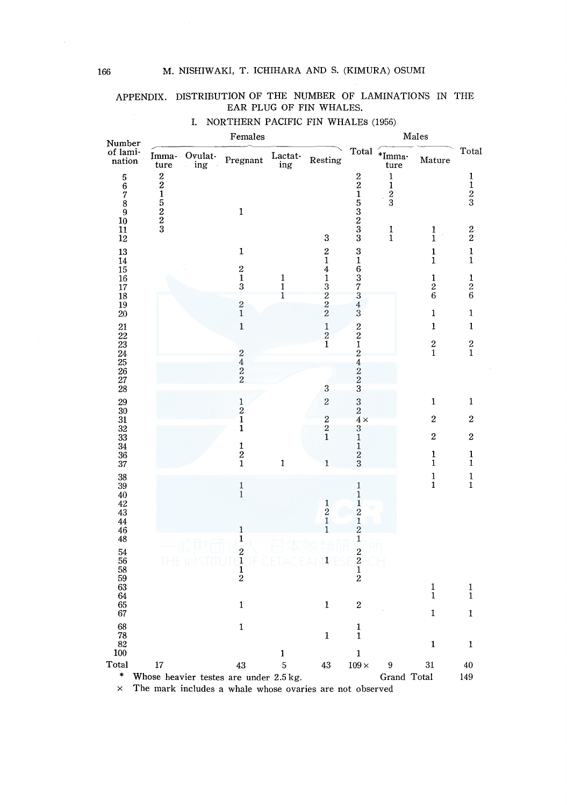### APPENDIX. DISTRIBUTION OF THE NUMBER OF LAMINATIONS IN THE EAR PLUG OF FIN WHALES.

| Number                                                                        |               |                | Females                                          |                              | Males                                                         |                                                 |                                               |                                |                                             |
|-------------------------------------------------------------------------------|---------------|----------------|--------------------------------------------------|------------------------------|---------------------------------------------------------------|-------------------------------------------------|-----------------------------------------------|--------------------------------|---------------------------------------------|
| of lami-<br>nation                                                            | Imma-<br>ture | Ovulat-<br>ing | Pregnant                                         | ${\rm Lactat}\atop{\rm ing}$ | Resting                                                       | Total                                           | $*_{Imma}$<br>ture                            | Mature                         | Total                                       |
| $\begin{array}{c} 5 \\ 6 \\ 7 \\ 8 \\ 9 \\ 10 \end{array}$<br>$\overline{11}$ | 221522        |                | $\mathbf{1}$                                     |                              |                                                               | 2215323                                         | $\begin{smallmatrix}1\1\2\3\end{smallmatrix}$ |                                | $\frac{1}{2}$                               |
| $12 \overline{)}$                                                             |               |                |                                                  |                              | $\boldsymbol{3}$                                              |                                                 | $\begin{smallmatrix}1\\1\end{smallmatrix}$    | $\frac{1}{1}$                  | $\frac{2}{2}$                               |
| 13<br>14                                                                      |               |                | $\mathbf 1$                                      |                              | $\begin{smallmatrix}2\2\1\end{smallmatrix}$<br>$\overline{4}$ |                                                 |                                               | $\mathbf{1}$<br>1              | $\frac{1}{1}$                               |
| 15<br>16<br>$17\,$<br>18                                                      |               |                | $\begin{smallmatrix}2\1\3\end{smallmatrix}$      | $\mathbf 1$<br>$\frac{1}{1}$ | $\frac{1}{3}$ $\frac{2}{2}$                                   | 31637343                                        |                                               | $\mathbf{1}$<br>$\frac{2}{6}$  | $\frac{1}{2}$ 6                             |
| 19<br>$\overline{20}$                                                         |               |                | $\begin{smallmatrix}2\1\end{smallmatrix}$        |                              |                                                               |                                                 |                                               | $\mathbf{1}$                   | $\mathbf 1$                                 |
| $\frac{21}{22}$                                                               |               |                | $\mathbf{1}$                                     |                              | $\mathbf 1$<br>$\frac{2}{1}$                                  |                                                 |                                               | $\mathbf{1}$                   | $\mathbf 1$                                 |
| 23<br>$24\,$<br>25<br>$\frac{26}{27}$                                         |               |                | $\begin{smallmatrix}2\4\2\2\end{smallmatrix}$    |                              |                                                               | 22124223                                        |                                               | $_1^2$                         | $\begin{smallmatrix}2\2\1\end{smallmatrix}$ |
| 28                                                                            |               |                |                                                  |                              | $\sqrt{3}$                                                    |                                                 |                                               |                                |                                             |
| 29<br>$\overline{30}$<br>31                                                   |               |                | $\begin{array}{c} 1 \\ 2 \\ 1 \end{array}$       |                              | $\sqrt{2}$                                                    | $\frac{3}{2}$<br>$\frac{1}{4}$ $\times$         |                                               | $\mathbf{1}$<br>$\overline{c}$ | $\mathbf{1}$<br>$\overline{c}$              |
| $\frac{3}{33}$                                                                |               |                |                                                  |                              | $\begin{smallmatrix} 2\\2\\1 \end{smallmatrix}$               | $\overline{3}$                                  |                                               | $\boldsymbol{2}$               | $\overline{\mathbf{c}}$                     |
| $\overline{34}$<br>36<br>37                                                   |               |                | $\frac{1}{2}$                                    | $\mathbf 1$                  | $\,$ 1 $\,$                                                   | $\begin{array}{c} 1 \\ 1 \\ 2 \\ 3 \end{array}$ |                                               | 1<br>$\tilde{1}$               | 1<br>$\overline{1}$                         |
| 38<br>39<br>40<br>42<br>$\overline{43}$                                       |               |                | $\frac{1}{1}$                                    |                              | $\begin{array}{c} 1 \\ 2 \\ 1 \end{array}$                    | $1112$<br>$212$                                 |                                               | $\mathbf{1}$<br>$\overline{1}$ | $\mathbf{1}$<br>$\overline{1}$              |
| 44<br>46<br>48                                                                |               |                | 1<br>$\overline{\mathbf{1}}$                     |                              |                                                               |                                                 |                                               |                                |                                             |
| 54<br>56<br>58                                                                |               |                | $\overline{2}$<br>$\overline{1}$<br>$\mathbf{1}$ |                              | 1                                                             | $\begin{array}{c} 2 \\ 2 \\ 1 \end{array}$      |                                               |                                |                                             |
| 59<br>63<br>64                                                                |               |                | $\overline{2}$                                   |                              |                                                               | $\overline{2}$                                  |                                               | $\frac{1}{1}$                  | $\begin{smallmatrix}1\1\1\end{smallmatrix}$ |
| 65<br>67                                                                      |               |                | $\mathbf 1$                                      |                              | $\mathbf{1}$                                                  | $\boldsymbol{2}$                                |                                               | $\mathbf{1}$                   | $\mathbf 1$                                 |
| 68<br>78<br>82<br>100                                                         |               |                | $\mathbf 1$                                      | 1                            | $\mathbf 1$                                                   | $\frac{1}{1}$<br>$\mathbf 1$                    |                                               | $\mathbf{1}$                   | 1                                           |
| Total                                                                         | 17            |                | 43                                               | 5                            | 43                                                            | $109 \times$                                    | 9                                             | 31                             | 40                                          |
| *                                                                             |               |                | Whose heavier testes are under 2.5 kg.           |                              |                                                               |                                                 | Grand Total                                   |                                | 149                                         |

I. NORTHERN PACIFIC FIN WHALES (1956)

x The mark includes a whale whose ovaries are not observed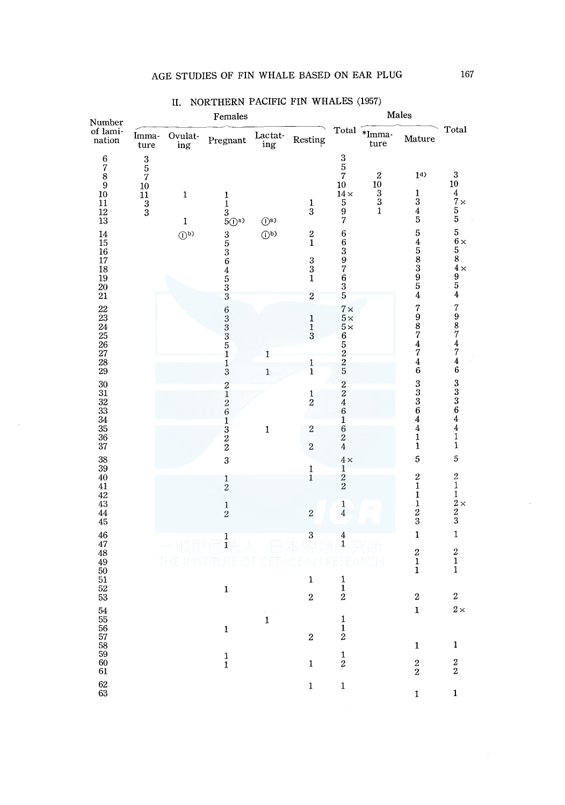|                                                                                 |                                                                |                                                            | AGE STUDIES OF FIN WHALE BASED ON EAR PLUG                                                       |                                |                                                                               |                                                                                                |                                                                 |                                                                        | 167                                                                                                          |
|---------------------------------------------------------------------------------|----------------------------------------------------------------|------------------------------------------------------------|--------------------------------------------------------------------------------------------------|--------------------------------|-------------------------------------------------------------------------------|------------------------------------------------------------------------------------------------|-----------------------------------------------------------------|------------------------------------------------------------------------|--------------------------------------------------------------------------------------------------------------|
| Number                                                                          | II. NORTHERN PACIFIC FIN WHALES (1957)<br>Males<br>Females     |                                                            |                                                                                                  |                                |                                                                               |                                                                                                |                                                                 |                                                                        |                                                                                                              |
| of lami-<br>nation                                                              | Imma-<br>ture                                                  | $\begin{array}{c} \text{Ovalat} \\ \text{ing} \end{array}$ | Pregnant                                                                                         | ${\rm Lactat}\label{eq:1}$ ing | Resting                                                                       | Total                                                                                          | *Imma-<br>ture                                                  | Mature                                                                 | Total                                                                                                        |
| 6<br>$\frac{7}{8}$<br>$\boldsymbol{9}$<br>10<br>11<br>12<br>13                  | $\frac{3}{5}$<br>$\boldsymbol{7}$<br>10<br>11<br>$\frac{1}{3}$ | $\mathbf{1}$<br>$\mathbf 1$                                | $\mathbf{1}$<br>$\mathbf{1}$<br>$\boldsymbol{3}$<br>5O <sup>a</sup>                              | $($ a                          | $\mathbf{1}$<br>$\sqrt{3}$                                                    | $\boldsymbol{3}$<br>$\mathbf 5$<br>$\sqrt{7}$<br>$10\,$<br>$14\, \times$<br>$\frac{5}{9}$<br>7 | $\boldsymbol{2}$<br>$10\,$<br>$\, 3$<br>$\bf 3$<br>$\mathbf{1}$ | 1 <sub>d</sub><br>1<br>$\,3$<br>$\overline{\mathbf{4}}$<br>5           | $\sqrt{3}$<br>10<br>4<br>$7\times$<br>5<br>5                                                                 |
| 14<br>15<br>16<br>17<br>18<br>19<br>20<br>21                                    |                                                                | $\mathbb{O}^{b)}$                                          | $\begin{smallmatrix}3\5\3\6\end{smallmatrix}$<br>$\begin{array}{c} 4 \\ 5 \\ 3 \\ 3 \end{array}$ | (1)                            | $\bf{2}$<br>$\mathbf{1}$<br>$\frac{3}{3}$<br>$\mathbf{1}$<br>$\boldsymbol{2}$ | $\,6$<br>$\,6$<br>$\boldsymbol{3}$<br>$\frac{9}{7}$<br>$\ddot{6}$<br>$\frac{3}{5}$             |                                                                 | 5<br>4583954                                                           | 5<br>$6\times$<br>5<br>$\overline{8}$<br>$4\,\times$<br>$\frac{9}{5}$<br>$\pmb{4}$                           |
| $22\,$<br>$23\,$<br>$\frac{24}{25}$<br>$\frac{25}{26}$<br>$\overline{27}$<br>28 |                                                                |                                                            | 633335<br>1                                                                                      | 1                              | $\,$ 1 $\,$<br>$\mathbf 1$<br>$\bf 3$<br>1                                    | $7\times$<br>$5\times$<br>$5\times$<br>6<br>$\overline{5}$<br>$\tilde{2}$<br>$\frac{2}{5}$     |                                                                 | 7<br>$\begin{array}{c} 9 \\ 8 \\ 7 \end{array}$<br>4<br>7<br>4         | 7<br>$\begin{array}{c} 9 \\ 8 \\ 7 \end{array}$<br>4<br>7<br>4                                               |
| 29<br>$30\,$<br>$\begin{array}{c} 31 \\ 32 \\ 33 \\ 34 \\ 35 \end{array}$       |                                                                |                                                            | $\frac{1}{3}$<br>$\overline{\mathbf{c}}$<br>$\frac{1}{2}$                                        | $\mathbf 1$                    | $\mathbf{1}$<br>$\mathbf{1}$<br>$\overline{2}$                                | $\frac{2}{2}$<br>$\overline{4}$<br>$\boldsymbol{6}$<br>$\mathbf{1}$                            |                                                                 | 6<br>$\begin{smallmatrix} 3\ 3\ 3\ 6 \end{smallmatrix}$<br>4           | 6<br>333364                                                                                                  |
| $\frac{36}{37}$<br>38<br>39                                                     |                                                                |                                                            | $\begin{array}{c} 1 \\ 3 \\ 2 \\ 2 \end{array}$<br>3                                             | $\mathbf{1}$                   | 2<br>$\,2$<br>1                                                               | $\,6$<br>$\overline{2}$<br>$\overline{4}$<br>$4\times$<br>1                                    |                                                                 | 4<br>1<br>1<br>5                                                       | $\overline{4}$<br>$\mathbf{1}$<br>1<br>5                                                                     |
| 40<br>41<br>42<br>43<br>44<br>45                                                |                                                                |                                                            | $\frac{1}{2}$<br>$\frac{1}{2}$                                                                   |                                | $\mathbf{1}$<br>$\,2$                                                         | $\frac{2}{2}$<br>$\mathbf{1}$<br>$\overline{4}$                                                |                                                                 | $\begin{smallmatrix}2\2\1\end{smallmatrix}$<br>1<br>1<br>$\frac{2}{3}$ | $\boldsymbol{2}$<br>$\mathbf 1$<br>$\mathbf 1$<br>$2\,\times$<br>$\begin{smallmatrix}2\2\3\end{smallmatrix}$ |
| 46<br>47<br>48<br>49                                                            |                                                                |                                                            | $\frac{1}{1}$                                                                                    |                                | $\overline{\mathbf{3}}$                                                       | 4<br>$\,1$                                                                                     |                                                                 | $\mathbf{1}$<br>$\boldsymbol{2}$<br>1<br>$\overline{\mathbf{1}}$       | $\mathbf 1$<br>$\boldsymbol{2}$<br>1<br>$\mathbf 1$                                                          |
| $\begin{array}{c} 50 \\ 51 \\ 52 \end{array}$<br>$5\overline{3}$                |                                                                |                                                            | $\mathbf 1$                                                                                      | $\overline{1}$                 | $\mathbf 1$<br>$\bf 2$                                                        | $\frac{1}{2}$                                                                                  |                                                                 | $\boldsymbol{2}$<br>$\mathbf{1}$                                       | $\mathbf 2$<br>$2\times$                                                                                     |
| $\begin{array}{c} 54 \\ 55 \\ 56 \\ 57 \\ 58 \\ 59 \\ \end{array}$              |                                                                |                                                            | $\mathbf 1$<br>$\frac{1}{1}$                                                                     |                                | $\,$                                                                          | $\frac{1}{2}$<br>$\frac{1}{2}$                                                                 |                                                                 | $\mathbf 1$                                                            | $\mathbf 1$                                                                                                  |
| $\frac{60}{61}$<br>62<br>63                                                     |                                                                |                                                            |                                                                                                  |                                | $\mathbf 1$<br>$\mathbf{1}$                                                   | $\mathbf 1$                                                                                    |                                                                 | $\frac{2}{2}$<br>$\mathbf{1}$                                          | $\frac{2}{2}$<br>$\mathbf{1}$                                                                                |

 $\bar{z}$ 

## II. NORTHERN PACIFIC FIN WHALES (1957)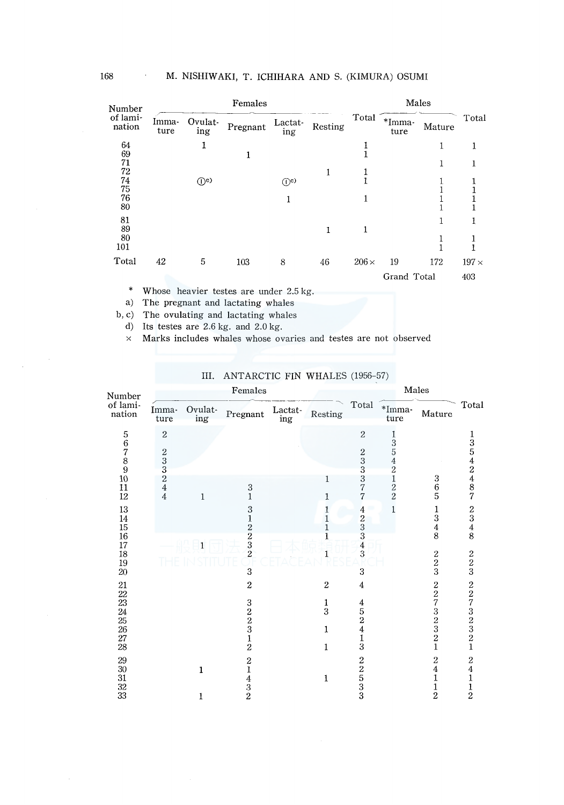| Number<br>of lami-<br>nation |               |                                 | Females         |                    |         |              |                        |        |              |
|------------------------------|---------------|---------------------------------|-----------------|--------------------|---------|--------------|------------------------|--------|--------------|
|                              | Imma-<br>ture | Ovulat-<br>ing                  | $\rm{Pregnant}$ | Lactat-<br>ing     | Resting | Total        | $\bf{*}$ Imma-<br>ture | Mature | Total        |
| 64<br>69                     |               | 1                               | 1               |                    |         |              |                        | 1      |              |
| 71<br>72                     |               |                                 |                 |                    |         |              |                        | 1      |              |
| 74<br>75                     |               | $($ <sup>c</sup> ) <sup>c</sup> |                 | $($ <sup>c</sup> ) |         |              |                        |        |              |
| 76<br>80                     |               |                                 |                 |                    |         |              |                        |        |              |
| 81<br>89                     |               |                                 |                 |                    | 1       | 1            |                        | 1      | 1            |
| 80<br>101                    |               |                                 |                 |                    |         |              |                        |        |              |
| Total                        | 42            | 5                               | 103             | 8                  | 46      | $206 \times$ | 19                     | 172    | $197 \times$ |
|                              |               |                                 |                 |                    |         |              | Grand Total            |        | 403          |

\* Whose heavier testes are under 2.5 kg.

a) The pregnant and lactating whales

b, c) The ovulating and lactating whales

d) Its testes are 2.6 kg. and 2.0 kg.

x Marks includes whales whose ovaries and testes are not observed

| Number                                                             |                                              |                   | Females                                                       |                                 |                                  |                                                                 | Males                                           |                                                                                   |                                                  |
|--------------------------------------------------------------------|----------------------------------------------|-------------------|---------------------------------------------------------------|---------------------------------|----------------------------------|-----------------------------------------------------------------|-------------------------------------------------|-----------------------------------------------------------------------------------|--------------------------------------------------|
| of lami-<br>$\quad$ nation                                         | Imma-<br>ture                                | Ovulat-<br>ing    | Pregnant                                                      | Lactat-<br>$\operatorname{ing}$ | Resting                          | Total                                                           | $\bf *Imma\cdot$<br>ture                        | Mature                                                                            | Total                                            |
| 56789                                                              | $\overline{2}$<br>$\frac{2}{3}$              |                   |                                                               |                                 |                                  | $\overline{2}$<br>$\begin{smallmatrix}2\3\3\3\end{smallmatrix}$ | 1<br>$\frac{3}{5}$<br>$\overline{4}$<br>$\,2\,$ |                                                                                   | 13542487                                         |
| 10<br>11<br>$12\,$                                                 | $\overline{c}$<br>$\bf{4}$<br>$\overline{4}$ | 1                 | $\sqrt{3}$<br>$\mathbf{1}$                                    |                                 | 1<br>1                           | $\overline{7}$<br>7                                             | $\mathbf 1$<br>$\overline{2}$<br>$\overline{2}$ | $\begin{array}{c} 3 \\ 6 \end{array}$<br>5                                        |                                                  |
| 13<br>14<br>15                                                     |                                              |                   | 3<br>$\mathbf{1}$                                             |                                 | 1<br>1                           | $\begin{array}{c} 4 \\ 2 \\ 3 \\ 3 \end{array}$                 | 1                                               | 1<br>$\overline{\mathbf{3}}$<br>$\overline{4}$                                    | $\begin{smallmatrix}2\3\3\4\8\end{smallmatrix}$  |
| $16\,$<br>17<br>18<br>19<br>$20\,$                                 |                                              |                   | $\frac{2}{2}$ $\frac{3}{2}$<br>3                              |                                 |                                  | $\frac{4}{3}$<br>3                                              |                                                 | 8<br>$\frac{2}{3}$                                                                | $\frac{2}{3}$                                    |
| 21<br>$22\,$<br>$23\,$<br>$24\,$<br>25<br>$26\,$<br>$\bf 27$<br>28 |                                              |                   | $\boldsymbol{2}$<br>$\frac{3}{2}$ $\frac{2}{3}$ $\frac{1}{2}$ |                                 | $\mathbf{2}$<br>1<br>3<br>1<br>1 | 4<br>452413                                                     |                                                 | $\frac{2}{2}$<br>$\overline{7}$<br>$\frac{3}{2}$<br>$\frac{2}{2}$<br>$\mathbf{1}$ | 22732321                                         |
| 29<br>30<br>31<br>$\frac{32}{33}$                                  |                                              | $\mathbf{1}$<br>1 | $\frac{2}{1}$<br>$\frac{4}{3}$                                |                                 | $\mathbf{1}$                     | $\begin{smallmatrix}2&&\\&2\\2&&5\\3&3\end{smallmatrix}$        |                                                 | $\boldsymbol{2}$<br>$\bf{4}$<br>1<br>$\frac{1}{2}$                                | $\overline{c}$<br>$\frac{4}{1}$<br>$\frac{1}{2}$ |

## III. ANT ARCTIC FIN WHALES (1956-57)